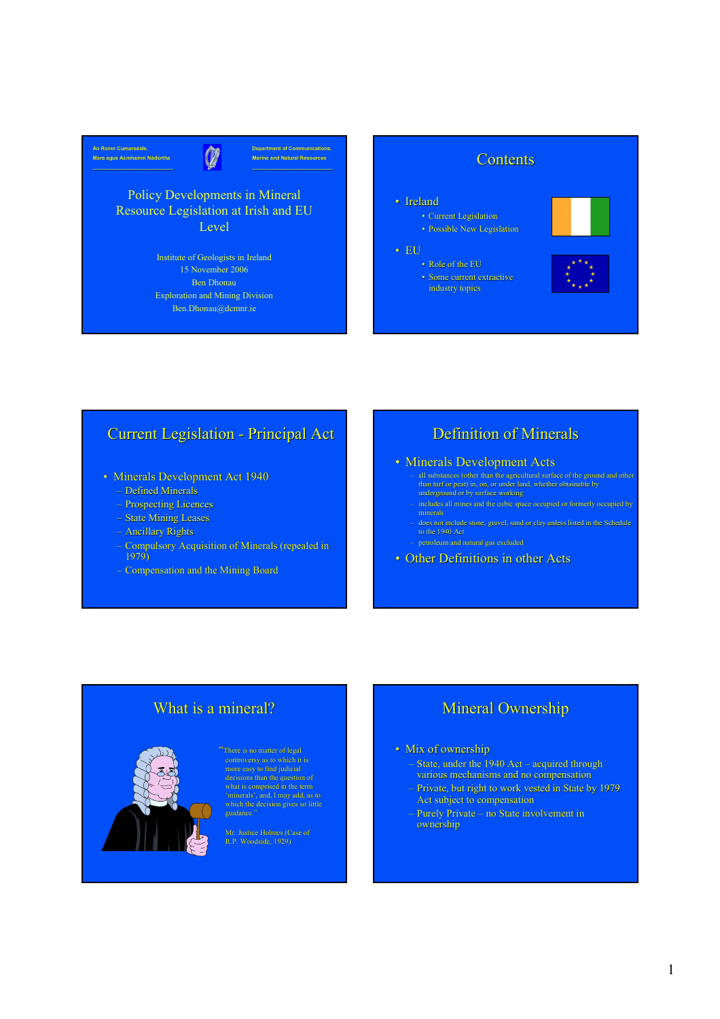

#### Policy Developments in Mineral Resource Legislation at Irish and EU Level

Institute of Geologists in Ireland 15 November 2006 Ben Dhonau Exploration and Mining Division Ben.Dhonau@dcmnr.ie



#### • Ireland • Current Legislation

• EU

• Possible New Legislation

industry topics





### Current Legislation - Principal Act

- Minerals Development Act 1940
	- Defined Minerals
	- Prospecting Licences
	- State Mining Leases
	- Ancillary Rights
	- Compulsory Acquisition of Minerals (repealed in 1979)
	- Compensation and the Mining Board

# Definition of Minerals

#### • Minerals Development Acts

- all substances (other than the agricultural surface of the ground and other than turf or peat) in, on, or under land, whether obtainable by underground or by surface working
	- includes all mines and the cubic space occupied or formerly occupied by
- does not include stone, gravel, sand or clay unless listed in the Schedule to the 1940 Act
- 
- Other Definitions in other Acts

# What is a mineral?

controversy as to which it is more easy to find judicial what is comprised in the term 'minerals', and, I may add, as to

guidance.

Mr. Justice Holmes (Case of R.P. Woodside, 1929)

# Mineral Ownership

#### • Mix of ownership

- State, under the 1940 Act acquired through various mechanisms and no compensation
- Private, but right to work vested in State by 1979 Act subject to compensation
- Purely Private no State involvement in ownership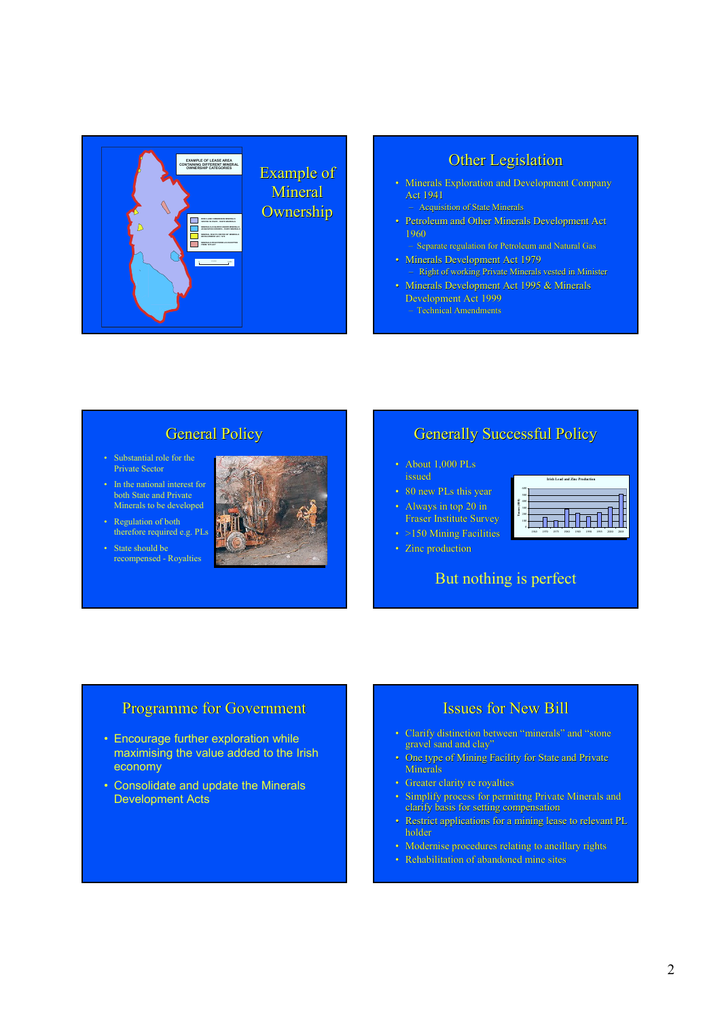

#### Other Legislation

- Minerals Exploration and Development Company Act 1941
	- Acquisition of State Minerals
- Petroleum and Other Minerals Development Act 1960
- Separate regulation for Petroleum and Natural Gas • Minerals Development Act 1979
- Right of working Private Minerals vested in Minister • Minerals Development Act 1995 & Minerals
- Development Act 1999
- Technical Amendments

## General Policy

- Substantial role for the Private Sector
- In the national interest for both State and Private Minerals to be developed
- Regulation of both therefore required e.g. PLs
- State should be recompensed - Royalties



#### Generally Successful Policy

- About 1,000 PLs issued
- 80 new PLs this year
- Always in top 20 in
- Fraser Institute Survey
- >150 Mining Facilities
- Zinc production

# But nothing is perfect





#### Programme for Government

- Encourage further exploration while maximising the value added to the Irish economy
- Consolidate and update the Minerals Development Acts

#### Issues for New Bill

- Clarify distinction between "minerals" and "stone gravel sand and clay'
- One type of Mining Facility for State and Private **Minerals**
- Greater clarity re royalties
- Simplify process for permittng Private Minerals and clarify basis for setting compensation
- Restrict applications for a mining lease to relevant PL holder
- Modernise procedures relating to ancillary rights
- Rehabilitation of abandoned mine sites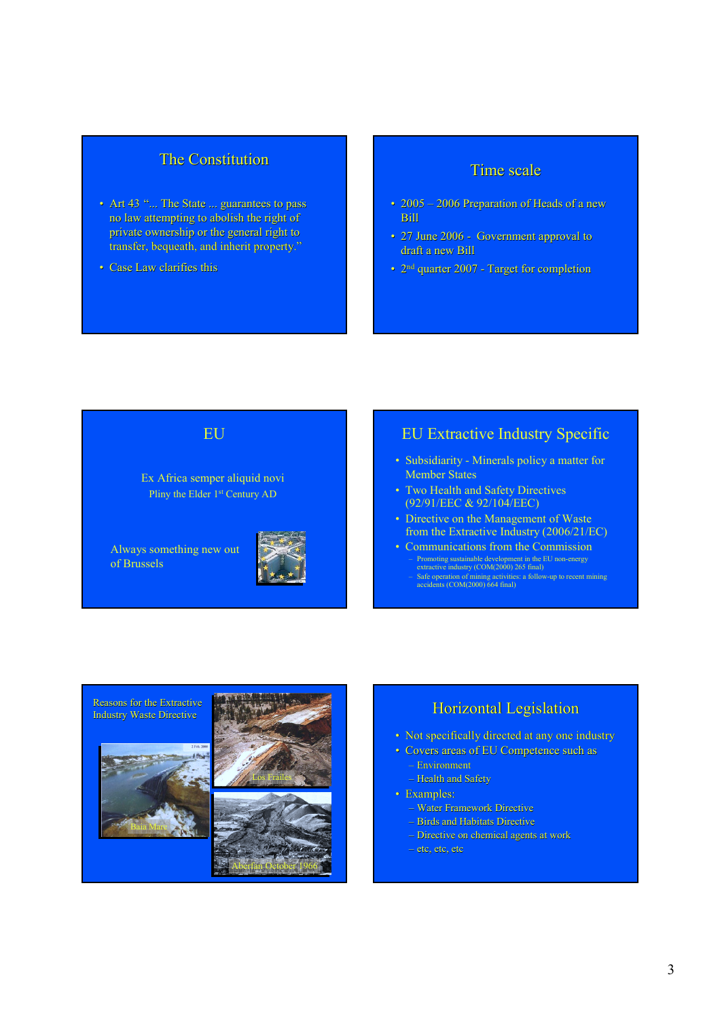#### The Constitution

- Art 43 "... The State ... guarantees to pass no law attempting to abolish the right of private ownership or the general right to transfer, bequeath, and inherit property."
- Case Law clarifies this

#### Time scale

- 2005 2006 Preparation of Heads of a new Bill
- 27 June 2006 Government approval to draft a new Bill
- 2<sup>nd</sup> quarter 2007 Target for completion

#### EU

Ex Africa semper aliquid novi Pliny the Elder 1st Century AD

Always something new out of Brussels



#### EU Extractive Industry Specific

- Subsidiarity Minerals policy a matter for Member States
- Two Health and Safety Directives (92/91/EEC & 92/104/EEC)
- Directive on the Management of Waste from the Extractive Industry (2006/21/EC)
- Communications from the Commission – Promoting sustainable development in the EU non-energy extractive industry (COM(2000) 265 final) – Safe operation of mining activities: a follow-up to recent mining accidents (COM(2000) 664 final)



#### **Horizontal Legislation**

- Not specifically directed at any one industry
- Covers areas of EU Competence such as
	- Environment
	- Health and Safety
- Examples:
	- Water Framework Directive
	- Birds and Habitats Directive
	- Directive on chemical agents at work
	- etc, etc, etc